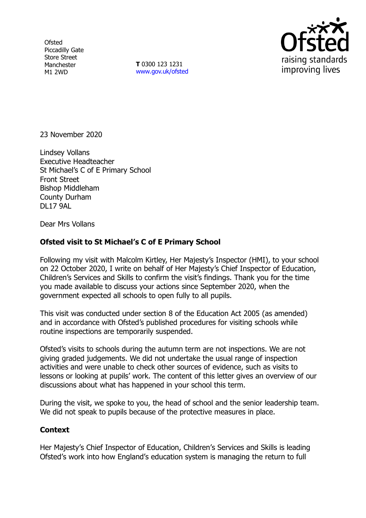**Ofsted** Piccadilly Gate Store Street Manchester M1 2WD

**T** 0300 123 1231 [www.gov.uk/ofsted](http://www.gov.uk/ofsted)



23 November 2020

Lindsey Vollans Executive Headteacher St Michael's C of E Primary School Front Street Bishop Middleham County Durham DL17 9AL

Dear Mrs Vollans

## **Ofsted visit to St Michael's C of E Primary School**

Following my visit with Malcolm Kirtley, Her Majesty's Inspector (HMI), to your school on 22 October 2020, I write on behalf of Her Majesty's Chief Inspector of Education, Children's Services and Skills to confirm the visit's findings. Thank you for the time you made available to discuss your actions since September 2020, when the government expected all schools to open fully to all pupils.

This visit was conducted under section 8 of the Education Act 2005 (as amended) and in accordance with Ofsted's published procedures for visiting schools while routine inspections are temporarily suspended.

Ofsted's visits to schools during the autumn term are not inspections. We are not giving graded judgements. We did not undertake the usual range of inspection activities and were unable to check other sources of evidence, such as visits to lessons or looking at pupils' work. The content of this letter gives an overview of our discussions about what has happened in your school this term.

During the visit, we spoke to you, the head of school and the senior leadership team. We did not speak to pupils because of the protective measures in place.

## **Context**

Her Majesty's Chief Inspector of Education, Children's Services and Skills is leading Ofsted's work into how England's education system is managing the return to full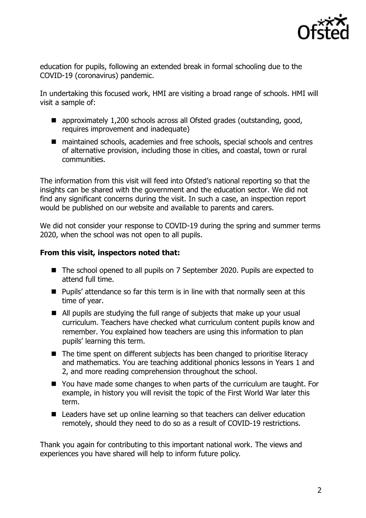

education for pupils, following an extended break in formal schooling due to the COVID-19 (coronavirus) pandemic.

In undertaking this focused work, HMI are visiting a broad range of schools. HMI will visit a sample of:

- approximately 1,200 schools across all Ofsted grades (outstanding, good, requires improvement and inadequate)
- maintained schools, academies and free schools, special schools and centres of alternative provision, including those in cities, and coastal, town or rural communities.

The information from this visit will feed into Ofsted's national reporting so that the insights can be shared with the government and the education sector. We did not find any significant concerns during the visit. In such a case, an inspection report would be published on our website and available to parents and carers.

We did not consider your response to COVID-19 during the spring and summer terms 2020, when the school was not open to all pupils.

## **From this visit, inspectors noted that:**

- The school opened to all pupils on 7 September 2020. Pupils are expected to attend full time.
- Pupils' attendance so far this term is in line with that normally seen at this time of year.
- All pupils are studying the full range of subjects that make up your usual curriculum. Teachers have checked what curriculum content pupils know and remember. You explained how teachers are using this information to plan pupils' learning this term.
- The time spent on different subjects has been changed to prioritise literacy and mathematics. You are teaching additional phonics lessons in Years 1 and 2, and more reading comprehension throughout the school.
- You have made some changes to when parts of the curriculum are taught. For example, in history you will revisit the topic of the First World War later this term.
- Leaders have set up online learning so that teachers can deliver education remotely, should they need to do so as a result of COVID-19 restrictions.

Thank you again for contributing to this important national work. The views and experiences you have shared will help to inform future policy.